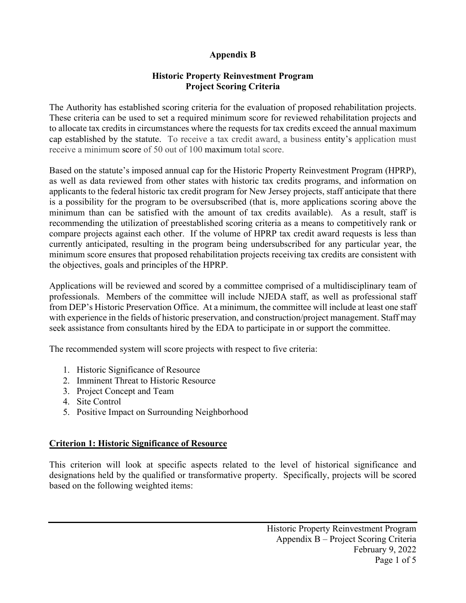## **Appendix B**

## **Historic Property Reinvestment Program Project Scoring Criteria**

The Authority has established scoring criteria for the evaluation of proposed rehabilitation projects. These criteria can be used to set a required minimum score for reviewed rehabilitation projects and to allocate tax credits in circumstances where the requests for tax credits exceed the annual maximum cap established by the statute. To receive a tax credit award, a business entity's application must receive a minimum score of 50 out of 100 maximum total score.

Based on the statute's imposed annual cap for the Historic Property Reinvestment Program (HPRP), as well as data reviewed from other states with historic tax credits programs, and information on applicants to the federal historic tax credit program for New Jersey projects, staff anticipate that there is a possibility for the program to be oversubscribed (that is, more applications scoring above the minimum than can be satisfied with the amount of tax credits available). As a result, staff is recommending the utilization of preestablished scoring criteria as a means to competitively rank or compare projects against each other. If the volume of HPRP tax credit award requests is less than currently anticipated, resulting in the program being undersubscribed for any particular year, the minimum score ensures that proposed rehabilitation projects receiving tax credits are consistent with the objectives, goals and principles of the HPRP.

Applications will be reviewed and scored by a committee comprised of a multidisciplinary team of professionals. Members of the committee will include NJEDA staff, as well as professional staff from DEP's Historic Preservation Office. At a minimum, the committee will include at least one staff with experience in the fields of historic preservation, and construction/project management. Staff may seek assistance from consultants hired by the EDA to participate in or support the committee.

The recommended system will score projects with respect to five criteria:

- 1. Historic Significance of Resource
- 2. Imminent Threat to Historic Resource
- 3. Project Concept and Team
- 4. Site Control
- 5. Positive Impact on Surrounding Neighborhood

# **Criterion 1: Historic Significance of Resource**

This criterion will look at specific aspects related to the level of historical significance and designations held by the qualified or transformative property. Specifically, projects will be scored based on the following weighted items: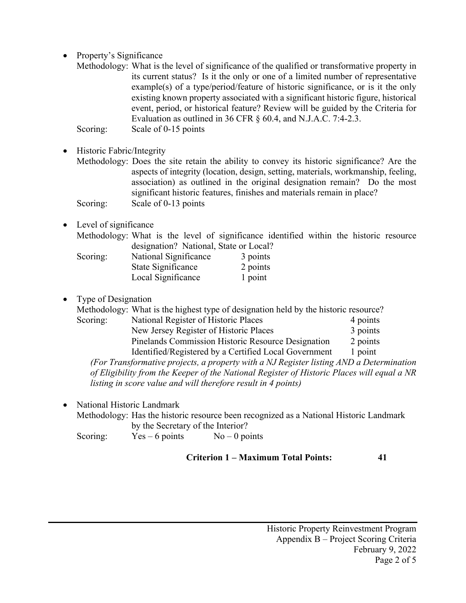- Property's Significance
	- Methodology: What is the level of significance of the qualified or transformative property in its current status? Is it the only or one of a limited number of representative example(s) of a type/period/feature of historic significance, or is it the only existing known property associated with a significant historic figure, historical event, period, or historical feature? Review will be guided by the Criteria for Evaluation as outlined in 36 CFR § 60.4, and N.J.A.C. 7:4-2.3. Scoring: Scale of 0-15 points
- Historic Fabric/Integrity
	- Methodology: Does the site retain the ability to convey its historic significance? Are the aspects of integrity (location, design, setting, materials, workmanship, feeling, association) as outlined in the original designation remain? Do the most significant historic features, finishes and materials remain in place? Scoring: Scale of 0-13 points
- Level of significance

|          | Methodology: What is the level of significance identified within the historic resource |          |  |  |  |
|----------|----------------------------------------------------------------------------------------|----------|--|--|--|
|          | designation? National, State or Local?                                                 |          |  |  |  |
| Scoring: | National Significance                                                                  | 3 points |  |  |  |
|          | State Significance                                                                     | 2 points |  |  |  |
|          | Local Significance                                                                     | 1 point  |  |  |  |

• Type of Designation

|  | Methodology: What is the highest type of designation held by the historic resource? |  |  |  |
|--|-------------------------------------------------------------------------------------|--|--|--|
|--|-------------------------------------------------------------------------------------|--|--|--|

| Scoring: | National Register of Historic Places                  | 4 points |
|----------|-------------------------------------------------------|----------|
|          | New Jersey Register of Historic Places                | 3 points |
|          | Pinelands Commission Historic Resource Designation    | 2 points |
|          | Identified/Registered by a Certified Local Government | 1 point  |

*(For Transformative projects, a property with a NJ Register listing AND a Determination of Eligibility from the Keeper of the National Register of Historic Places will equal a NR listing in score value and will therefore result in 4 points)*

• National Historic Landmark

Methodology: Has the historic resource been recognized as a National Historic Landmark by the Secretary of the Interior? Scoring:  $Yes-6 points$  No – 0 points

**Criterion 1 – Maximum Total Points: 41**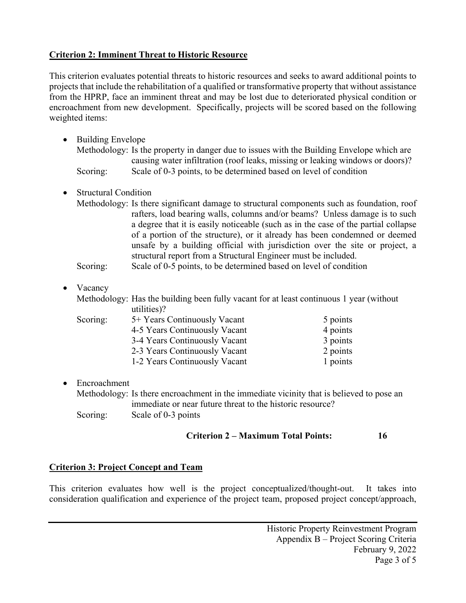## **Criterion 2: Imminent Threat to Historic Resource**

This criterion evaluates potential threats to historic resources and seeks to award additional points to projects that include the rehabilitation of a qualified or transformative property that without assistance from the HPRP, face an imminent threat and may be lost due to deteriorated physical condition or encroachment from new development. Specifically, projects will be scored based on the following weighted items:

- Building Envelope Methodology: Is the property in danger due to issues with the Building Envelope which are causing water infiltration (roof leaks, missing or leaking windows or doors)? Scoring: Scale of 0-3 points, to be determined based on level of condition
- Structural Condition
	- Methodology: Is there significant damage to structural components such as foundation, roof rafters, load bearing walls, columns and/or beams? Unless damage is to such a degree that it is easily noticeable (such as in the case of the partial collapse of a portion of the structure), or it already has been condemned or deemed unsafe by a building official with jurisdiction over the site or project, a structural report from a Structural Engineer must be included.

Scoring: Scale of 0-5 points, to be determined based on level of condition

• Vacancy

Methodology: Has the building been fully vacant for at least continuous 1 year (without utilities)?

| Scoring: | 5+ Years Continuously Vacant  | 5 points |
|----------|-------------------------------|----------|
|          | 4-5 Years Continuously Vacant | 4 points |
|          | 3-4 Years Continuously Vacant | 3 points |
|          | 2-3 Years Continuously Vacant | 2 points |
|          | 1-2 Years Continuously Vacant | 1 points |

• Encroachment

Methodology: Is there encroachment in the immediate vicinity that is believed to pose an immediate or near future threat to the historic resource? Scoring: Scale of 0-3 points

# **Criterion 2 – Maximum Total Points: 16**

## **Criterion 3: Project Concept and Team**

This criterion evaluates how well is the project conceptualized/thought-out. It takes into consideration qualification and experience of the project team, proposed project concept/approach,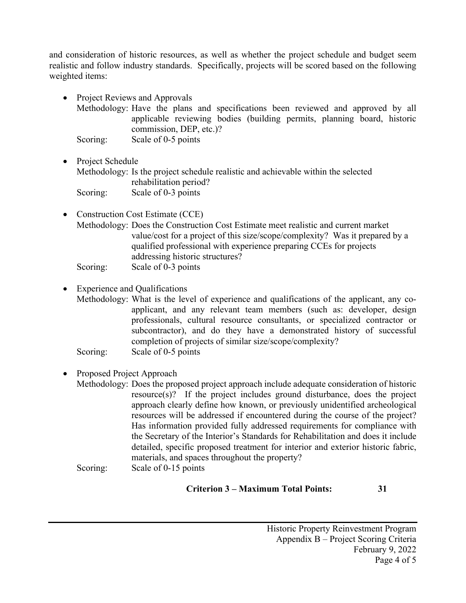and consideration of historic resources, as well as whether the project schedule and budget seem realistic and follow industry standards. Specifically, projects will be scored based on the following weighted items:

- Project Reviews and Approvals
	- Methodology: Have the plans and specifications been reviewed and approved by all applicable reviewing bodies (building permits, planning board, historic commission, DEP, etc.)?

Scoring: Scale of 0-5 points

- Project Schedule Methodology: Is the project schedule realistic and achievable within the selected rehabilitation period? Scoring: Scale of 0-3 points
- Construction Cost Estimate (CCE) Methodology: Does the Construction Cost Estimate meet realistic and current market value/cost for a project of this size/scope/complexity? Was it prepared by a qualified professional with experience preparing CCEs for projects addressing historic structures? Scoring: Scale of 0-3 points
- Experience and Qualifications

Methodology: What is the level of experience and qualifications of the applicant, any coapplicant, and any relevant team members (such as: developer, design professionals, cultural resource consultants, or specialized contractor or subcontractor), and do they have a demonstrated history of successful completion of projects of similar size/scope/complexity? Scoring: Scale of 0-5 points

### • Proposed Project Approach

Methodology: Does the proposed project approach include adequate consideration of historic resource(s)? If the project includes ground disturbance, does the project approach clearly define how known, or previously unidentified archeological resources will be addressed if encountered during the course of the project? Has information provided fully addressed requirements for compliance with the Secretary of the Interior's Standards for Rehabilitation and does it include detailed, specific proposed treatment for interior and exterior historic fabric, materials, and spaces throughout the property?

Scoring: Scale of 0-15 points

#### **Criterion 3 – Maximum Total Points: 31**